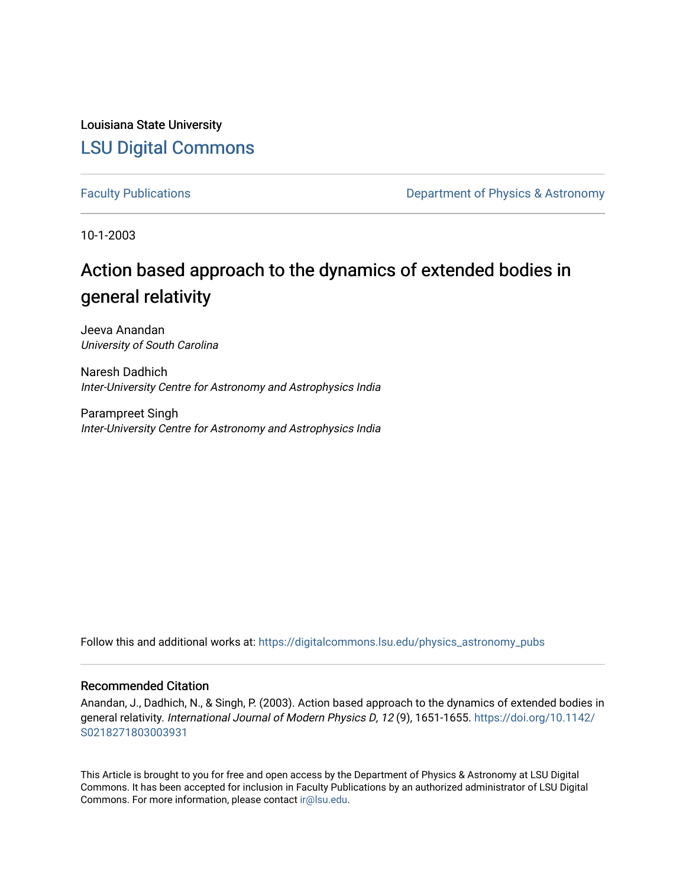Louisiana State University [LSU Digital Commons](https://digitalcommons.lsu.edu/)

[Faculty Publications](https://digitalcommons.lsu.edu/physics_astronomy_pubs) **Exercise 2 and Table 2 and Table 2 and Table 2 and Table 2 and Table 2 and Table 2 and Table 2 and Table 2 and Table 2 and Table 2 and Table 2 and Table 2 and Table 2 and Table 2 and Table 2 and Table** 

10-1-2003

## Action based approach to the dynamics of extended bodies in general relativity

Jeeva Anandan University of South Carolina

Naresh Dadhich Inter-University Centre for Astronomy and Astrophysics India

Parampreet Singh Inter-University Centre for Astronomy and Astrophysics India

Follow this and additional works at: [https://digitalcommons.lsu.edu/physics\\_astronomy\\_pubs](https://digitalcommons.lsu.edu/physics_astronomy_pubs?utm_source=digitalcommons.lsu.edu%2Fphysics_astronomy_pubs%2F5104&utm_medium=PDF&utm_campaign=PDFCoverPages) 

### Recommended Citation

Anandan, J., Dadhich, N., & Singh, P. (2003). Action based approach to the dynamics of extended bodies in general relativity. International Journal of Modern Physics D, 12 (9), 1651-1655. [https://doi.org/10.1142/](https://doi.org/10.1142/S0218271803003931) [S0218271803003931](https://doi.org/10.1142/S0218271803003931) 

This Article is brought to you for free and open access by the Department of Physics & Astronomy at LSU Digital Commons. It has been accepted for inclusion in Faculty Publications by an authorized administrator of LSU Digital Commons. For more information, please contact [ir@lsu.edu](mailto:ir@lsu.edu).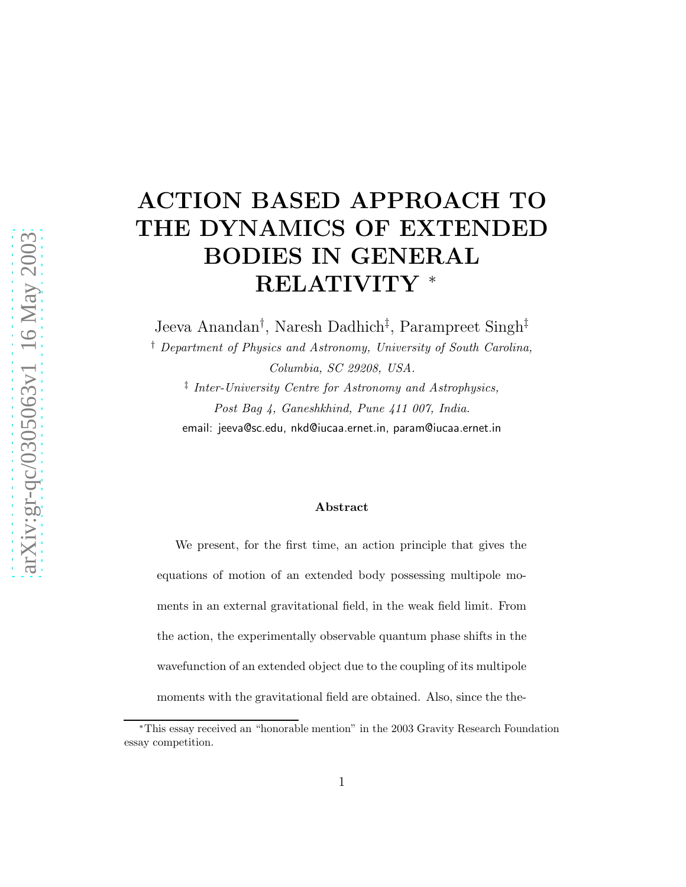# ACTION BASED APPROACH TO THE DYNAMICS OF EXTENDED BODIES IN GENERAL RELATIVITY <sup>∗</sup>

Jeeva Anandan† , Naresh Dadhich‡ , Parampreet Singh‡

† Department of Physics and Astronomy, University of South Carolina, Columbia, SC 29208, USA. ‡ Inter-University Centre for Astronomy and Astrophysics, Post Bag 4, Ganeshkhind, Pune 411 007, India.

email: jeeva@sc.edu, nkd@iucaa.ernet.in, param@iucaa.ernet.in

#### Abstract

We present, for the first time, an action principle that gives the equations of motion of an extended body possessing multipole moments in an external gravitational field, in the weak field limit. From the action, the experimentally observable quantum phase shifts in the wavefunction of an extended object due to the coupling of its multipole moments with the gravitational field are obtained. Also, since the the-

<sup>∗</sup>This essay received an "honorable mention" in the 2003 Gravity Research Foundation essay competition.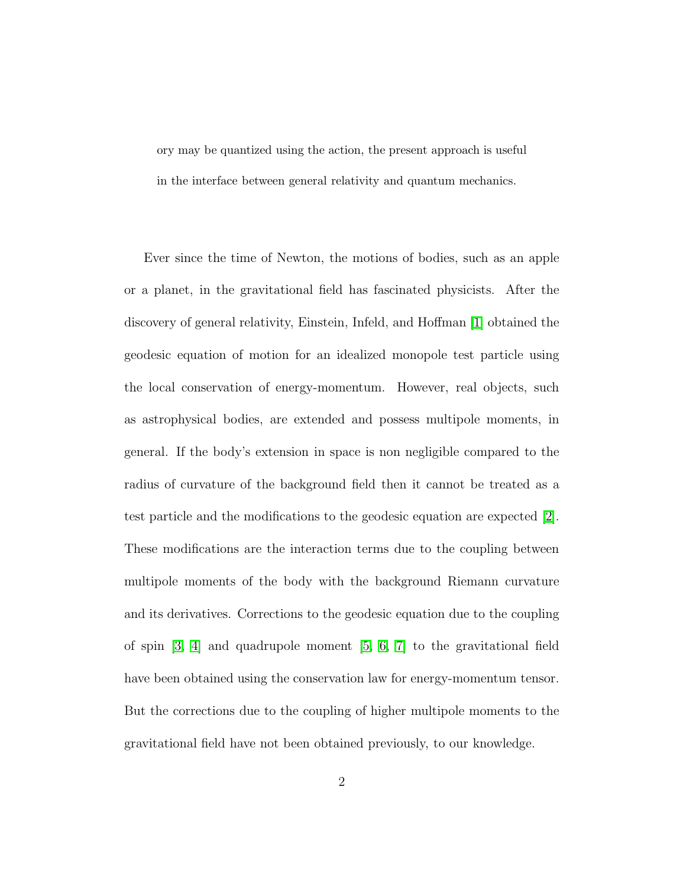ory may be quantized using the action, the present approach is useful in the interface between general relativity and quantum mechanics.

Ever since the time of Newton, the motions of bodies, such as an apple or a planet, in the gravitational field has fascinated physicists. After the discovery of general relativity, Einstein, Infeld, and Hoffman [\[1\]](#page-10-0) obtained the geodesic equation of motion for an idealized monopole test particle using the local conservation of energy-momentum. However, real objects, such as astrophysical bodies, are extended and possess multipole moments, in general. If the body's extension in space is non negligible compared to the radius of curvature of the background field then it cannot be treated as a test particle and the modifications to the geodesic equation are expected [\[2\]](#page-10-1). These modifications are the interaction terms due to the coupling between multipole moments of the body with the background Riemann curvature and its derivatives. Corrections to the geodesic equation due to the coupling of spin [\[3,](#page-10-2) [4\]](#page-10-3) and quadrupole moment [\[5,](#page-10-4) [6,](#page-10-5) [7\]](#page-10-6) to the gravitational field have been obtained using the conservation law for energy-momentum tensor. But the corrections due to the coupling of higher multipole moments to the gravitational field have not been obtained previously, to our knowledge.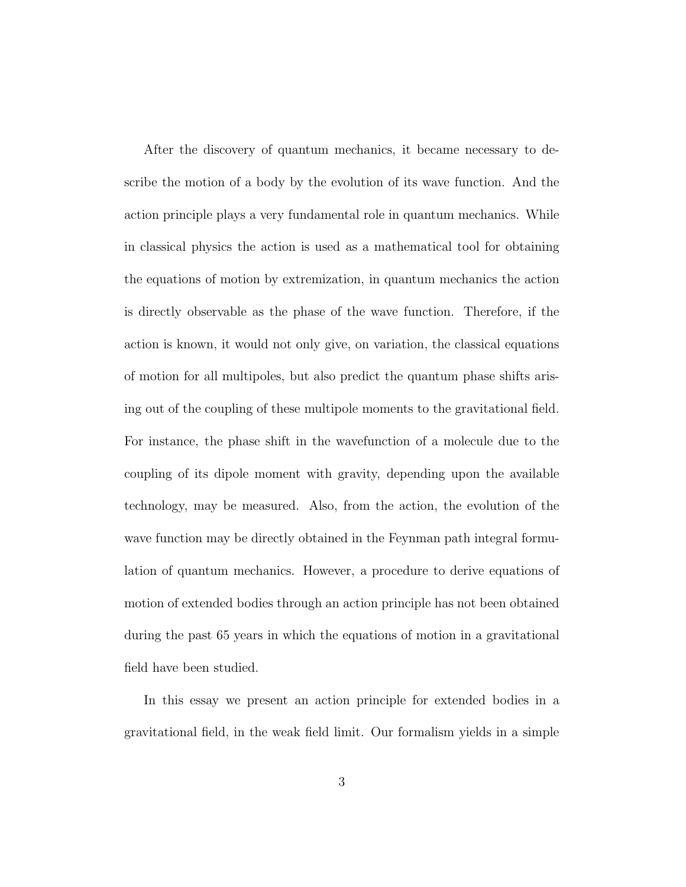After the discovery of quantum mechanics, it became necessary to describe the motion of a body by the evolution of its wave function. And the action principle plays a very fundamental role in quantum mechanics. While in classical physics the action is used as a mathematical tool for obtaining the equations of motion by extremization, in quantum mechanics the action is directly observable as the phase of the wave function. Therefore, if the action is known, it would not only give, on variation, the classical equations of motion for all multipoles, but also predict the quantum phase shifts arising out of the coupling of these multipole moments to the gravitational field. For instance, the phase shift in the wavefunction of a molecule due to the coupling of its dipole moment with gravity, depending upon the available technology, may be measured. Also, from the action, the evolution of the wave function may be directly obtained in the Feynman path integral formulation of quantum mechanics. However, a procedure to derive equations of motion of extended bodies through an action principle has not been obtained during the past 65 years in which the equations of motion in a gravitational field have been studied.

In this essay we present an action principle for extended bodies in a gravitational field, in the weak field limit. Our formalism yields in a simple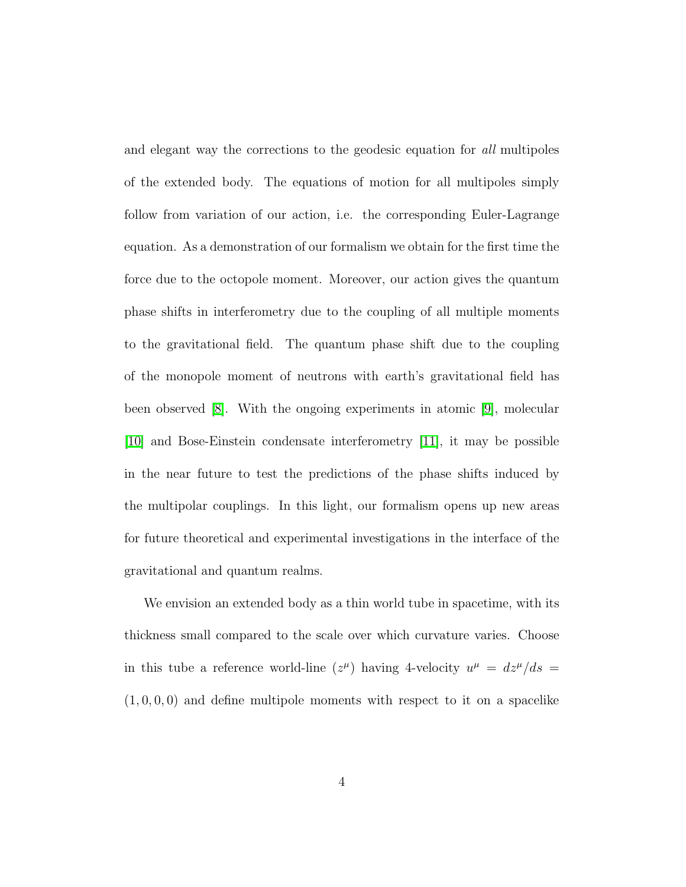and elegant way the corrections to the geodesic equation for all multipoles of the extended body. The equations of motion for all multipoles simply follow from variation of our action, i.e. the corresponding Euler-Lagrange equation. As a demonstration of our formalism we obtain for the first time the force due to the octopole moment. Moreover, our action gives the quantum phase shifts in interferometry due to the coupling of all multiple moments to the gravitational field. The quantum phase shift due to the coupling of the monopole moment of neutrons with earth's gravitational field has been observed [\[8\]](#page-10-7). With the ongoing experiments in atomic [\[9\]](#page-10-8), molecular [\[10\]](#page-10-9) and Bose-Einstein condensate interferometry [\[11\]](#page-10-10), it may be possible in the near future to test the predictions of the phase shifts induced by the multipolar couplings. In this light, our formalism opens up new areas for future theoretical and experimental investigations in the interface of the gravitational and quantum realms.

We envision an extended body as a thin world tube in spacetime, with its thickness small compared to the scale over which curvature varies. Choose in this tube a reference world-line  $(z^{\mu})$  having 4-velocity  $u^{\mu} = dz^{\mu}/ds =$  $(1, 0, 0, 0)$  and define multipole moments with respect to it on a spacelike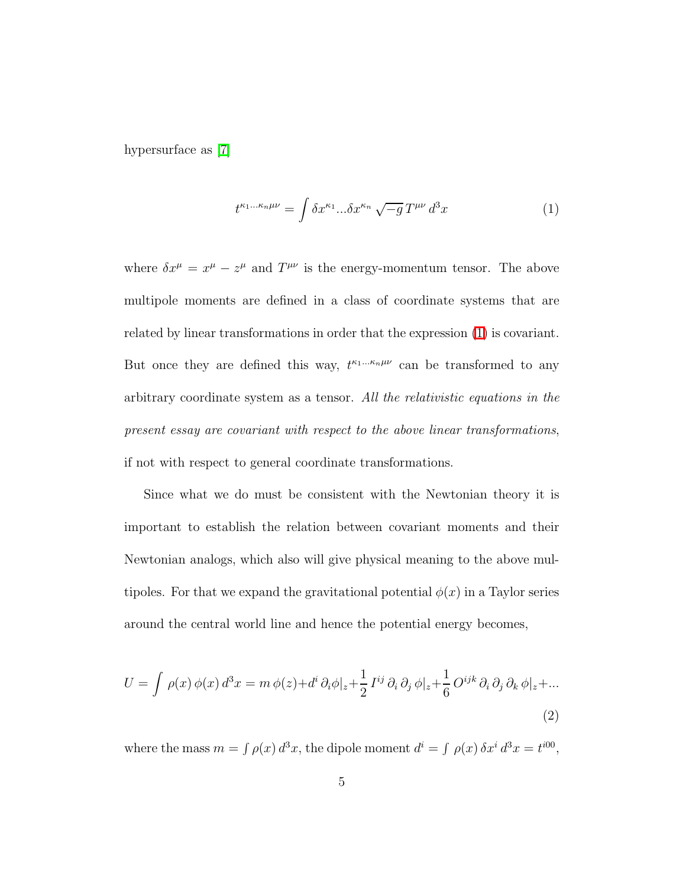<span id="page-5-0"></span>hypersurface as [\[7\]](#page-10-6)

$$
t^{\kappa_1\dots\kappa_n\mu\nu} = \int \delta x^{\kappa_1} \dots \delta x^{\kappa_n} \sqrt{-g} \, T^{\mu\nu} \, d^3x \tag{1}
$$

where  $\delta x^{\mu} = x^{\mu} - z^{\mu}$  and  $T^{\mu\nu}$  is the energy-momentum tensor. The above multipole moments are defined in a class of coordinate systems that are related by linear transformations in order that the expression [\(1\)](#page-5-0) is covariant. But once they are defined this way,  $t^{\kappa_1...\kappa_n\mu\nu}$  can be transformed to any arbitrary coordinate system as a tensor. All the relativistic equations in the present essay are covariant with respect to the above linear transformations, if not with respect to general coordinate transformations.

Since what we do must be consistent with the Newtonian theory it is important to establish the relation between covariant moments and their Newtonian analogs, which also will give physical meaning to the above multipoles. For that we expand the gravitational potential  $\phi(x)$  in a Taylor series around the central world line and hence the potential energy becomes,

<span id="page-5-1"></span>
$$
U = \int \rho(x) \phi(x) d^3x = m \phi(z) + d^i \partial_i \phi|_z + \frac{1}{2} I^{ij} \partial_i \partial_j \phi|_z + \frac{1}{6} O^{ijk} \partial_i \partial_j \partial_k \phi|_z + \dots
$$
\n(2)

where the mass  $m = \int \rho(x) d^3x$ , the dipole moment  $d^i = \int \rho(x) \delta x^i d^3x = t^{i00}$ ,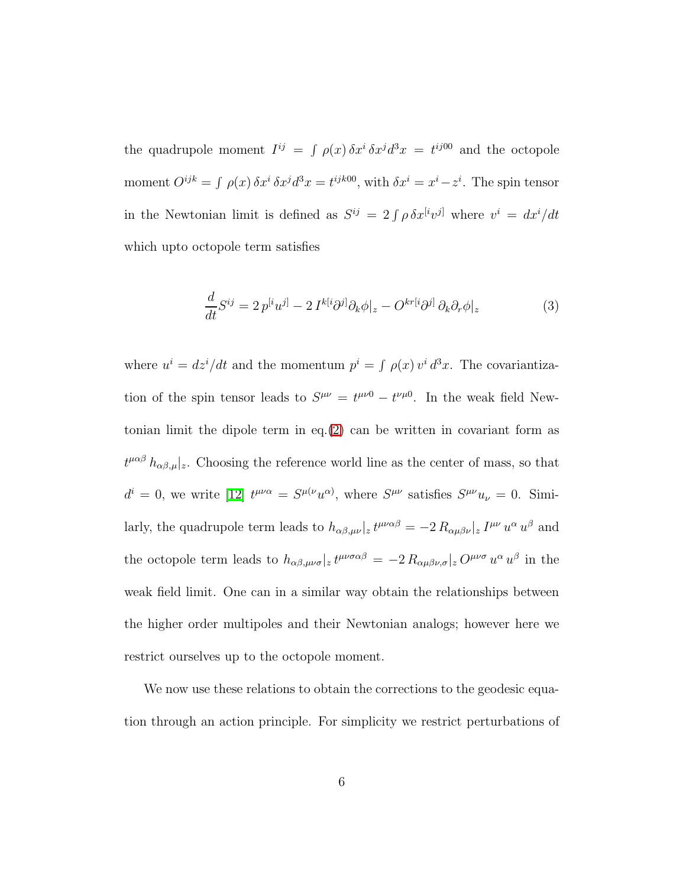the quadrupole moment  $I^{ij} = \int \rho(x) \, \delta x^i \, \delta x^j d^3 x = t^{ij00}$  and the octopole moment  $O^{ijk} = \int \rho(x) \, \delta x^i \, \delta x^j d^3 x = t^{ijk00}$ , with  $\delta x^i = x^i - z^i$ . The spin tensor in the Newtonian limit is defined as  $S^{ij} = 2 \int \rho \, \delta x^{[i} v^{j]}$  where  $v^{i} = dx^{i}/dt$ which upto octopole term satisfies

<span id="page-6-0"></span>
$$
\frac{d}{dt}S^{ij} = 2p^{[i}u^{j]} - 2I^{k[i}\partial^{j]}\partial_{k}\phi|_{z} - O^{kr[i}\partial^{j]}\partial_{k}\partial_{r}\phi|_{z}
$$
(3)

where  $u^i = \frac{dz^i}{dt}$  and the momentum  $p^i = \int \rho(x) v^i d^3x$ . The covariantization of the spin tensor leads to  $S^{\mu\nu} = t^{\mu\nu 0} - t^{\nu\mu 0}$ . In the weak field New-tonian limit the dipole term in eq.[\(2\)](#page-5-1) can be written in covariant form as  $t^{\mu\alpha\beta}$   $h_{\alpha\beta,\mu}|_z$ . Choosing the reference world line as the center of mass, so that  $d^i = 0$ , we write [\[12\]](#page-10-11)  $t^{\mu\nu\alpha} = S^{\mu(\nu}u^{\alpha)}$ , where  $S^{\mu\nu}$  satisfies  $S^{\mu\nu}u_{\nu} = 0$ . Similarly, the quadrupole term leads to  $h_{\alpha\beta,\mu\nu}|_z t^{\mu\nu\alpha\beta} = -2 R_{\alpha\mu\beta\nu}|_z I^{\mu\nu} u^{\alpha} u^{\beta}$  and the octopole term leads to  $h_{\alpha\beta,\mu\nu\sigma}|_z t^{\mu\nu\sigma\alpha\beta} = -2 R_{\alpha\mu\beta\nu,\sigma}|_z O^{\mu\nu\sigma} u^{\alpha} u^{\beta}$  in the weak field limit. One can in a similar way obtain the relationships between the higher order multipoles and their Newtonian analogs; however here we restrict ourselves up to the octopole moment.

We now use these relations to obtain the corrections to the geodesic equation through an action principle. For simplicity we restrict perturbations of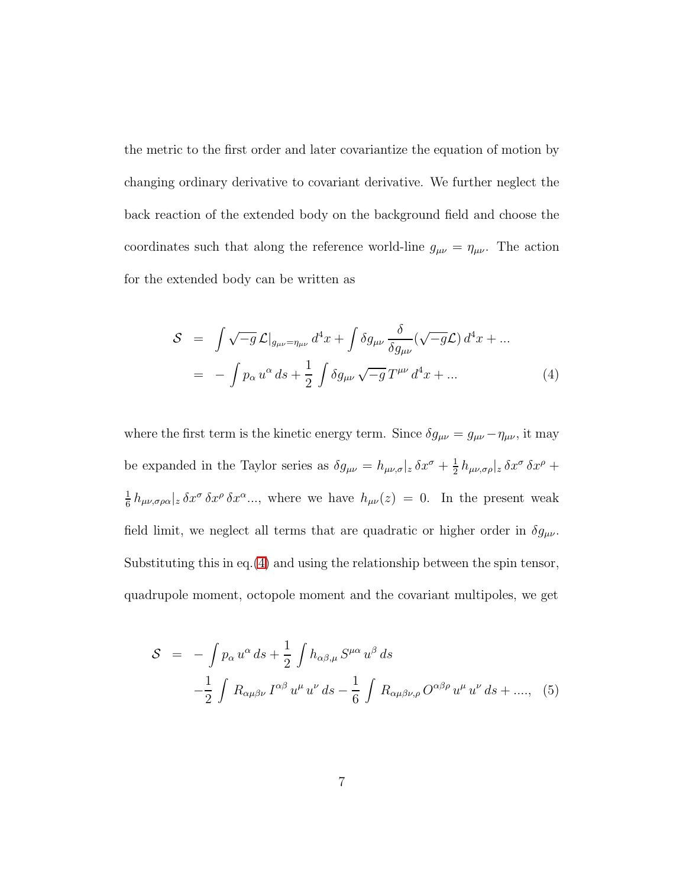the metric to the first order and later covariantize the equation of motion by changing ordinary derivative to covariant derivative. We further neglect the back reaction of the extended body on the background field and choose the coordinates such that along the reference world-line  $g_{\mu\nu} = \eta_{\mu\nu}$ . The action for the extended body can be written as

<span id="page-7-0"></span>
$$
\mathcal{S} = \int \sqrt{-g} \, \mathcal{L}|_{g_{\mu\nu} = \eta_{\mu\nu}} d^4x + \int \delta g_{\mu\nu} \frac{\delta}{\delta g_{\mu\nu}} (\sqrt{-g} \mathcal{L}) d^4x + \dots
$$

$$
= - \int p_{\alpha} u^{\alpha} ds + \frac{1}{2} \int \delta g_{\mu\nu} \sqrt{-g} T^{\mu\nu} d^4x + \dots \tag{4}
$$

where the first term is the kinetic energy term. Since  $\delta g_{\mu\nu} = g_{\mu\nu} - \eta_{\mu\nu}$ , it may be expanded in the Taylor series as  $\delta g_{\mu\nu} = h_{\mu\nu,\sigma}|_z \, \delta x^{\sigma} + \frac{1}{2}$  $\frac{1}{2}h_{\mu\nu,\sigma\rho}|_z\,\delta x^\sigma\,\delta x^\rho\,+\,$ 1  $\frac{1}{6} h_{\mu\nu,\sigma\rho\alpha}|_z \, \delta x^{\sigma} \, \delta x^{\rho} \, \delta x^{\alpha} \dots$ , where we have  $h_{\mu\nu}(z) = 0$ . In the present weak field limit, we neglect all terms that are quadratic or higher order in  $\delta g_{\mu\nu}$ . Substituting this in eq.[\(4\)](#page-7-0) and using the relationship between the spin tensor, quadrupole moment, octopole moment and the covariant multipoles, we get

<span id="page-7-1"></span>
$$
S = -\int p_{\alpha} u^{\alpha} ds + \frac{1}{2} \int h_{\alpha\beta,\mu} S^{\mu\alpha} u^{\beta} ds
$$
  

$$
-\frac{1}{2} \int R_{\alpha\mu\beta\nu} I^{\alpha\beta} u^{\mu} u^{\nu} ds - \frac{1}{6} \int R_{\alpha\mu\beta\nu,\rho} O^{\alpha\beta\rho} u^{\mu} u^{\nu} ds + \dots, (5)
$$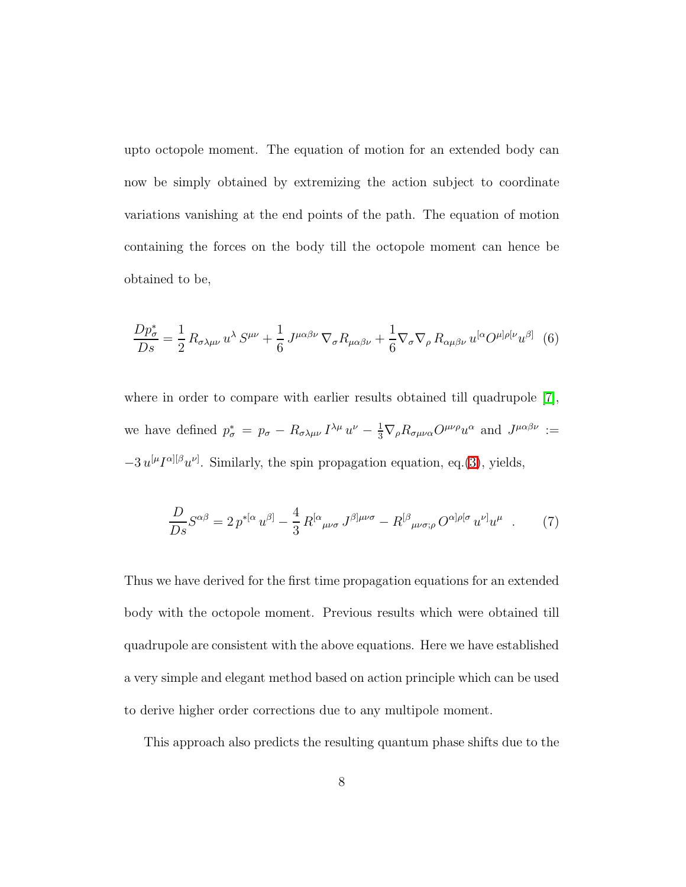upto octopole moment. The equation of motion for an extended body can now be simply obtained by extremizing the action subject to coordinate variations vanishing at the end points of the path. The equation of motion containing the forces on the body till the octopole moment can hence be obtained to be,

$$
\frac{Dp_{\sigma}^{*}}{Ds} = \frac{1}{2} R_{\sigma\lambda\mu\nu} u^{\lambda} S^{\mu\nu} + \frac{1}{6} J^{\mu\alpha\beta\nu} \nabla_{\sigma} R_{\mu\alpha\beta\nu} + \frac{1}{6} \nabla_{\sigma} \nabla_{\rho} R_{\alpha\mu\beta\nu} u^{[\alpha} O^{\mu]\rho[\nu} u^{\beta]} \tag{6}
$$

where in order to compare with earlier results obtained till quadrupole [\[7\]](#page-10-6), we have defined  $p^*_{\sigma} = p_{\sigma} - R_{\sigma\lambda\mu\nu} I^{\lambda\mu} u^{\nu} - \frac{1}{3} \nabla_{\rho} R_{\sigma\mu\nu\alpha} O^{\mu\nu\rho} u^{\alpha}$  and  $J^{\mu\alpha\beta\nu} :=$  $-3 u^{[\mu} I^{\alpha][\beta} u^{\nu]}$ . Similarly, the spin propagation equation, eq.[\(3\)](#page-6-0), yields,

$$
\frac{D}{Ds}S^{\alpha\beta} = 2p^{*[\alpha}u^{\beta]} - \frac{4}{3}R^{[\alpha}{}_{\mu\nu\sigma}J^{\beta]\mu\nu\sigma} - R^{[\beta}{}_{\mu\nu\sigma;\rho}O^{\alpha]\rho[\sigma}u^{\nu]}u^{\mu} \quad . \tag{7}
$$

Thus we have derived for the first time propagation equations for an extended body with the octopole moment. Previous results which were obtained till quadrupole are consistent with the above equations. Here we have established a very simple and elegant method based on action principle which can be used to derive higher order corrections due to any multipole moment.

This approach also predicts the resulting quantum phase shifts due to the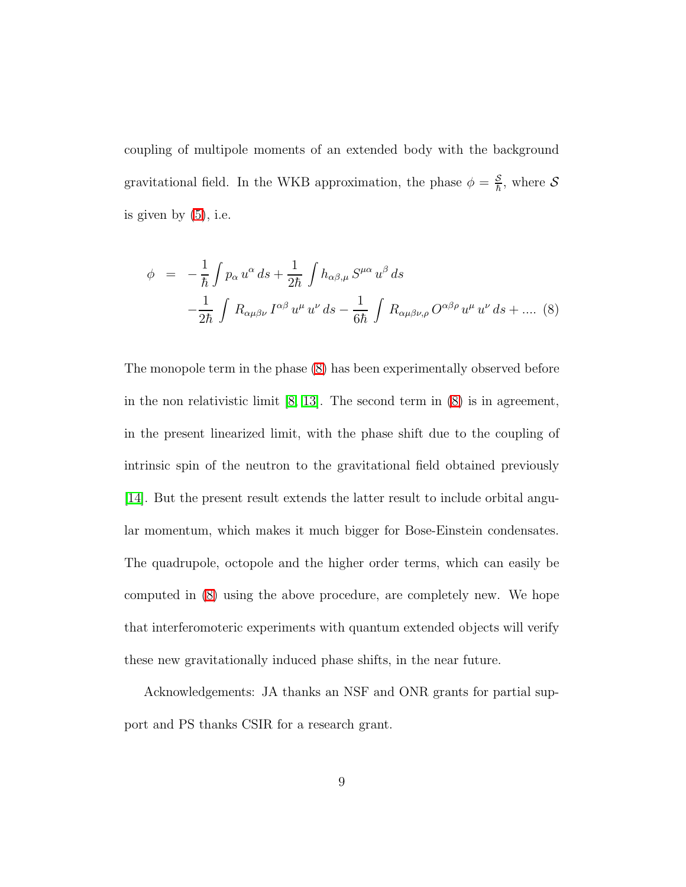coupling of multipole moments of an extended body with the background gravitational field. In the WKB approximation, the phase  $\phi = \frac{S}{\hbar}$  $\frac{\mathcal{S}}{\hbar}$ , where  $\mathcal S$ is given by  $(5)$ , i.e.

<span id="page-9-0"></span>
$$
\phi = -\frac{1}{\hbar} \int p_{\alpha} u^{\alpha} ds + \frac{1}{2\hbar} \int h_{\alpha\beta,\mu} S^{\mu\alpha} u^{\beta} ds
$$

$$
-\frac{1}{2\hbar} \int R_{\alpha\mu\beta\nu} I^{\alpha\beta} u^{\mu} u^{\nu} ds - \frac{1}{6\hbar} \int R_{\alpha\mu\beta\nu,\rho} O^{\alpha\beta\rho} u^{\mu} u^{\nu} ds + .... (8)
$$

The monopole term in the phase [\(8\)](#page-9-0) has been experimentally observed before in the non relativistic limit [\[8,](#page-10-7) [13\]](#page-10-12). The second term in [\(8\)](#page-9-0) is in agreement, in the present linearized limit, with the phase shift due to the coupling of intrinsic spin of the neutron to the gravitational field obtained previously [\[14\]](#page-10-13). But the present result extends the latter result to include orbital angular momentum, which makes it much bigger for Bose-Einstein condensates. The quadrupole, octopole and the higher order terms, which can easily be computed in [\(8\)](#page-9-0) using the above procedure, are completely new. We hope that interferomoteric experiments with quantum extended objects will verify these new gravitationally induced phase shifts, in the near future.

Acknowledgements: JA thanks an NSF and ONR grants for partial support and PS thanks CSIR for a research grant.